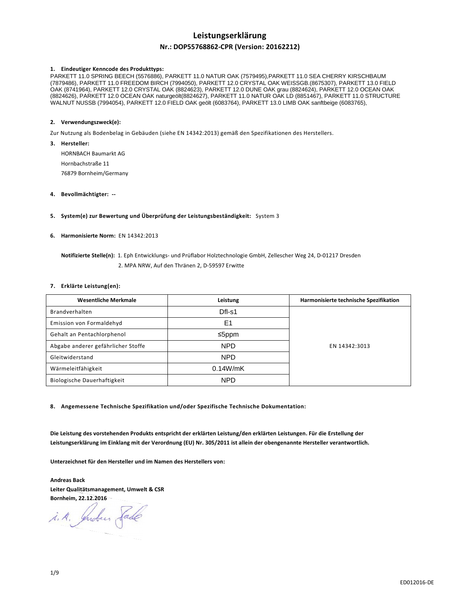# **Leistungserklärung**

# **Nr.: DOP55768862-CPR (Version: 20162212)**

#### **1. Eindeutiger Kenncode des Produkttyps:**

PARKETT 11.0 SPRING BEECH (5576886), PARKETT 11.0 NATUR OAK (7579495),PARKETT 11.0 SEA CHERRY KIRSCHBAUM (7879486), PARKETT 11.0 FREEDOM BIRCH (7994050), PARKETT 12.0 CRYSTAL OAK WEISSGB.(8675307), PARKETT 13.0 FIELD OAK (8741964), PARKETT 12.0 CRYSTAL OAK (8824623), PARKETT 12.0 DUNE OAK grau (8824624), PARKETT 12.0 OCEAN OAK (8824626), PARKETT 12.0 OCEAN OAK naturgeölt(8824627), PARKETT 11.0 NATUR OAK LD (8851467), PARKETT 11.0 STRUCTURE WALNUT NUSSB (7994054), PARKETT 12.0 FIELD OAK geölt (6083764), PARKETT 13.0 LIMB OAK sanftbeige (6083765),

#### **2. Verwendungszweck(e):**

Zur Nutzung als Bodenbelag in Gebäuden (siehe EN 14342:2013) gemäß den Spezifikationen des Herstellers.

**3. Hersteller:**  HORNBACH Baumarkt AG Hornbachstraße 11 76879 Bornheim/Germany

#### **4. Bevollmächtigter: --**

**5. System(e) zur Bewertung und Überprüfung der Leistungsbeständigkeit:** System 3

#### **6. Harmonisierte Norm:** EN 14342:2013

# **Notifizierte Stelle(n):** 1. Eph Entwicklungs- und Prüflabor Holztechnologie GmbH, Zellescher Weg 24, D-01217 Dresden 2. MPA NRW, Auf den Thränen 2, D-59597 Erwitte

#### **7. Erklärte Leistung(en):**

| <b>Wesentliche Merkmale</b>        | Leistung   | Harmonisierte technische Spezifikation |
|------------------------------------|------------|----------------------------------------|
| Brandverhalten                     | Dfl-s1     |                                        |
| Emission von Formaldehyd           | E1         |                                        |
| Gehalt an Pentachlorphenol         | ≤5ppm      |                                        |
| Abgabe anderer gefährlicher Stoffe | <b>NPD</b> | EN 14342:3013                          |
| Gleitwiderstand                    | <b>NPD</b> |                                        |
| Wärmeleitfähigkeit                 | 0.14W/mK   |                                        |
| Biologische Dauerhaftigkeit        | <b>NPD</b> |                                        |

**8. Angemessene Technische Spezifikation und/oder Spezifische Technische Dokumentation:** 

**Die Leistung des vorstehenden Produkts entspricht der erklärten Leistung/den erklärten Leistungen. Für die Erstellung der Leistungserklärung im Einklang mit der Verordnung (EU) Nr. 305/2011 ist allein der obengenannte Hersteller verantwortlich.** 

**Unterzeichnet für den Hersteller und im Namen des Herstellers von:** 

**Andreas Back Leiter Qualitätsmanagement, Umwelt & CSR Bornheim, 22.12.2016** 

i. A. Juden Jade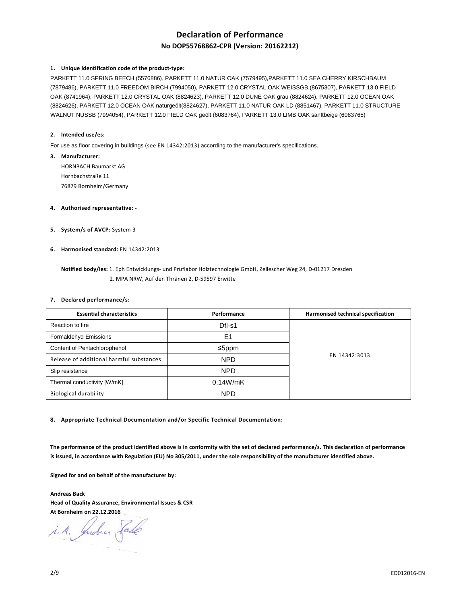# **Declaration of Performance**

# **No DOP55768862-CPR (Version: 20162212)**

#### **1. Unique identification code of the product-type:**

PARKETT 11.0 SPRING BEECH (5576886), PARKETT 11.0 NATUR OAK (7579495),PARKETT 11.0 SEA CHERRY KIRSCHBAUM (7879486), PARKETT 11.0 FREEDOM BIRCH (7994050), PARKETT 12.0 CRYSTAL OAK WEISSGB.(8675307), PARKETT 13.0 FIELD OAK (8741964), PARKETT 12.0 CRYSTAL OAK (8824623), PARKETT 12.0 DUNE OAK grau (8824624), PARKETT 12.0 OCEAN OAK (8824626), PARKETT 12.0 OCEAN OAK naturgeölt(8824627), PARKETT 11.0 NATUR OAK LD (8851467), PARKETT 11.0 STRUCTURE WALNUT NUSSB (7994054), PARKETT 12.0 FIELD OAK geölt (6083764), PARKETT 13.0 LIMB OAK sanftbeige (6083765)

#### **2. Intended use/es:**

For use as floor covering in buildings (see EN 14342:2013) according to the manufacturer's specifications.

**3. Manufacturer:** 

HORNBACH Baumarkt AG Hornbachstraße 11 76879 Bornheim/Germany

- **4. Authorised representative:**
- **5. System/s of AVCP:** System 3
- **6. Harmonised standard:** EN 14342:2013
	- **Notified body/ies:** 1. Eph Entwicklungs- und Prüflabor Holztechnologie GmbH, Zellescher Weg 24, D-01217 Dresden 2. MPA NRW, Auf den Thränen 2, D-59597 Erwitte

#### **7. Declared performance/s:**

| <b>Essential characteristics</b>         | Performance | Harmonised technical specification |
|------------------------------------------|-------------|------------------------------------|
| Reaction to fire                         | Dfl-s1      |                                    |
| Formaldehyd Emissions                    | E1          |                                    |
| Content of Pentachlorophenol             | ≤5ppm       |                                    |
| Release of additional harmful substances | <b>NPD</b>  | EN 14342:3013                      |
| Slip resistance                          | <b>NPD</b>  |                                    |
| Thermal conductivity [W/mK]              | 0.14W/mK    |                                    |
| Biological durability                    | <b>NPD</b>  |                                    |

**8. Appropriate Technical Documentation and/or Specific Technical Documentation:** 

**The performance of the product identified above is in conformity with the set of declared performance/s. This declaration of performance is issued, in accordance with Regulation (EU) No 305/2011, under the sole responsibility of the manufacturer identified above.** 

**Signed for and on behalf of the manufacturer by:** 

**Andreas Back Head of Quality Assurance, Environmental Issues & CSR At Bornheim on 22.12.2016** 

i.A. Indees Sade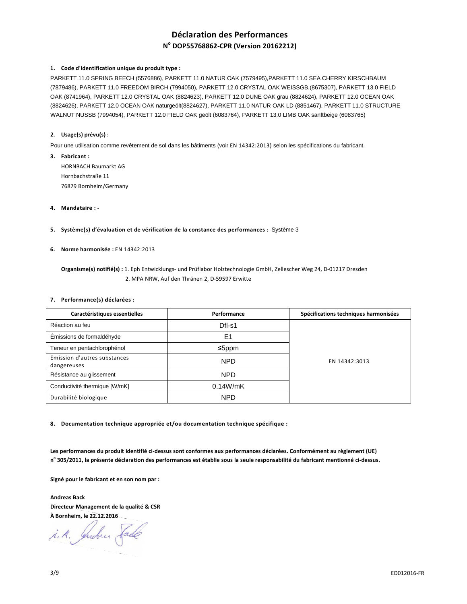# **Déclaration des Performances N o DOP55768862-CPR (Version 20162212)**

# **1. Code d'identification unique du produit type :**

PARKETT 11.0 SPRING BEECH (5576886), PARKETT 11.0 NATUR OAK (7579495),PARKETT 11.0 SEA CHERRY KIRSCHBAUM (7879486), PARKETT 11.0 FREEDOM BIRCH (7994050), PARKETT 12.0 CRYSTAL OAK WEISSGB.(8675307), PARKETT 13.0 FIELD OAK (8741964), PARKETT 12.0 CRYSTAL OAK (8824623), PARKETT 12.0 DUNE OAK grau (8824624), PARKETT 12.0 OCEAN OAK (8824626), PARKETT 12.0 OCEAN OAK naturgeölt(8824627), PARKETT 11.0 NATUR OAK LD (8851467), PARKETT 11.0 STRUCTURE WALNUT NUSSB (7994054), PARKETT 12.0 FIELD OAK geölt (6083764), PARKETT 13.0 LIMB OAK sanftbeige (6083765)

# **2. Usage(s) prévu(s) :**

Pour une utilisation comme revêtement de sol dans les bâtiments (voir EN 14342:2013) selon les spécifications du fabricant.

- **3. Fabricant :**  HORNBACH Baumarkt AG Hornbachstraße 11 76879 Bornheim/Germany
- **4. Mandataire :**
- **5. Système(s) d'évaluation et de vérification de la constance des performances :** Système 3
- **6. Norme harmonisée :** EN 14342:2013

 **Organisme(s) notifié(s) :** 1. Eph Entwicklungs- und Prüflabor Holztechnologie GmbH, Zellescher Weg 24, D-01217 Dresden 2. MPA NRW, Auf den Thränen 2, D-59597 Erwitte

#### **7. Performance(s) déclarées :**

| Caractéristiques essentielles               | Performance | Spécifications techniques harmonisées |
|---------------------------------------------|-------------|---------------------------------------|
| Réaction au feu                             | $DfI-S1$    |                                       |
| Émissions de formaldéhyde                   | E1          |                                       |
| Teneur en pentachlorophénol                 | ≤5ppm       |                                       |
| Emission d'autres substances<br>dangereuses | <b>NPD</b>  | EN 14342:3013                         |
| Résistance au glissement                    | <b>NPD</b>  |                                       |
| Conductivité thermique [W/mK]               | 0.14W/mK    |                                       |
| Durabilité biologique                       | <b>NPD</b>  |                                       |

**8. Documentation technique appropriée et/ou documentation technique spécifique :** 

**Les performances du produit identifié ci-dessus sont conformes aux performances déclarées. Conformément au règlement (UE) n o 305/2011, la présente déclaration des performances est établie sous la seule responsabilité du fabricant mentionné ci-dessus.** 

**Signé pour le fabricant et en son nom par :** 

**Andreas Back Directeur Management de la qualité & CSR À Bornheim, le 22.12.2016** 

i. A. Jendeur Sade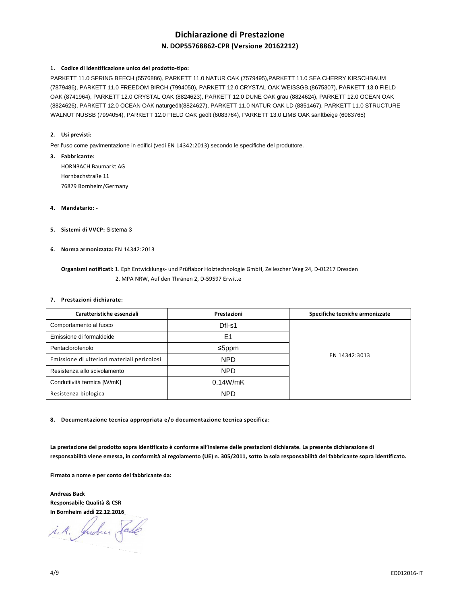# **Dichiarazione di Prestazione N. DOP55768862-CPR (Versione 20162212)**

# **1. Codice di identificazione unico del prodotto-tipo:**

PARKETT 11.0 SPRING BEECH (5576886), PARKETT 11.0 NATUR OAK (7579495),PARKETT 11.0 SEA CHERRY KIRSCHBAUM (7879486), PARKETT 11.0 FREEDOM BIRCH (7994050), PARKETT 12.0 CRYSTAL OAK WEISSGB.(8675307), PARKETT 13.0 FIELD OAK (8741964), PARKETT 12.0 CRYSTAL OAK (8824623), PARKETT 12.0 DUNE OAK grau (8824624), PARKETT 12.0 OCEAN OAK (8824626), PARKETT 12.0 OCEAN OAK naturgeölt(8824627), PARKETT 11.0 NATUR OAK LD (8851467), PARKETT 11.0 STRUCTURE WALNUT NUSSB (7994054), PARKETT 12.0 FIELD OAK geölt (6083764), PARKETT 13.0 LIMB OAK sanftbeige (6083765)

# **2. Usi previsti:**

Per l'uso come pavimentazione in edifici (vedi EN 14342:2013) secondo le specifiche del produttore.

- **3. Fabbricante:**  HORNBACH Baumarkt AG Hornbachstraße 11 76879 Bornheim/Germany
- **4. Mandatario:**
- **5. Sistemi di VVCP:** Sistema 3
- **6. Norma armonizzata:** EN 14342:2013

 **Organismi notificati:** 1. Eph Entwicklungs- und Prüflabor Holztechnologie GmbH, Zellescher Weg 24, D-01217 Dresden 2. MPA NRW, Auf den Thränen 2, D-59597 Erwitte

#### **7. Prestazioni dichiarate:**

| Caratteristiche essenziali                  | Prestazioni | Specifiche tecniche armonizzate |
|---------------------------------------------|-------------|---------------------------------|
| Comportamento al fuoco                      | Dfl-s1      |                                 |
| Emissione di formaldeide                    | E1          |                                 |
| Pentaclorofenolo                            | ≤5ppm       |                                 |
| Emissione di ulteriori materiali pericolosi | <b>NPD</b>  | EN 14342:3013                   |
| Resistenza allo scivolamento                | <b>NPD</b>  |                                 |
| Conduttività termica [W/mK]                 | 0.14W/mK    |                                 |
| Resistenza biologica                        | <b>NPD</b>  |                                 |

**8. Documentazione tecnica appropriata e/o documentazione tecnica specifica:** 

**La prestazione del prodotto sopra identificato è conforme all'insieme delle prestazioni dichiarate. La presente dichiarazione di responsabilità viene emessa, in conformità al regolamento (UE) n. 305/2011, sotto la sola responsabilità del fabbricante sopra identificato.** 

**Firmato a nome e per conto del fabbricante da:** 

**Andreas Back Responsabile Qualità & CSR In Bornheim addì 22.12.2016**

i.A. Indees Sade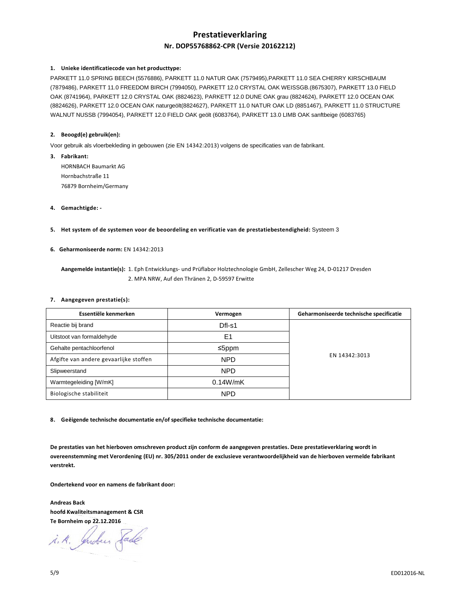# **Prestatieverklaring Nr. DOP55768862-CPR (Versie 20162212)**

# **1. Unieke identificatiecode van het producttype:**

PARKETT 11.0 SPRING BEECH (5576886), PARKETT 11.0 NATUR OAK (7579495),PARKETT 11.0 SEA CHERRY KIRSCHBAUM (7879486), PARKETT 11.0 FREEDOM BIRCH (7994050), PARKETT 12.0 CRYSTAL OAK WEISSGB.(8675307), PARKETT 13.0 FIELD OAK (8741964), PARKETT 12.0 CRYSTAL OAK (8824623), PARKETT 12.0 DUNE OAK grau (8824624), PARKETT 12.0 OCEAN OAK (8824626), PARKETT 12.0 OCEAN OAK naturgeölt(8824627), PARKETT 11.0 NATUR OAK LD (8851467), PARKETT 11.0 STRUCTURE WALNUT NUSSB (7994054), PARKETT 12.0 FIELD OAK geölt (6083764), PARKETT 13.0 LIMB OAK sanftbeige (6083765)

# **2. Beoogd(e) gebruik(en):**

Voor gebruik als vloerbekleding in gebouwen (zie EN 14342:2013) volgens de specificaties van de fabrikant.

- **3. Fabrikant:**  HORNBACH Baumarkt AG Hornbachstraße 11 76879 Bornheim/Germany
- **4. Gemachtigde:**
- **5. Het system of de systemen voor de beoordeling en verificatie van de prestatiebestendigheid:** Systeem 3

# **6. Geharmoniseerde norm:** EN 14342:2013

 **Aangemelde instantie(s):** 1. Eph Entwicklungs- und Prüflabor Holztechnologie GmbH, Zellescher Weg 24, D-01217 Dresden 2. MPA NRW, Auf den Thränen 2, D-59597 Erwitte

#### **7. Aangegeven prestatie(s):**

| Essentiële kenmerken                   | Vermogen   | Geharmoniseerde technische specificatie |
|----------------------------------------|------------|-----------------------------------------|
| Reactie bij brand                      | Dfl-s1     |                                         |
| Uitstoot van formaldehyde              | E1         |                                         |
| Gehalte pentachloorfenol               | ≤5ppm      | EN 14342:3013                           |
| Afgifte van andere gevaarlijke stoffen | <b>NPD</b> |                                         |
| Slipweerstand                          | <b>NPD</b> |                                         |
| Warmtegeleiding [W/mK]                 | 0.14W/mK   |                                         |
| Biologische stabiliteit                | <b>NPD</b> |                                         |

**8. Geëigende technische documentatie en/of specifieke technische documentatie:** 

**De prestaties van het hierboven omschreven product zijn conform de aangegeven prestaties. Deze prestatieverklaring wordt in overeenstemming met Verordening (EU) nr. 305/2011 onder de exclusieve verantwoordelijkheid van de hierboven vermelde fabrikant verstrekt.** 

**Ondertekend voor en namens de fabrikant door:** 

**Andreas Back hoofd Kwaliteitsmanagement & CSR Te Bornheim op 22.12.2016** 

i.A. Juden Sade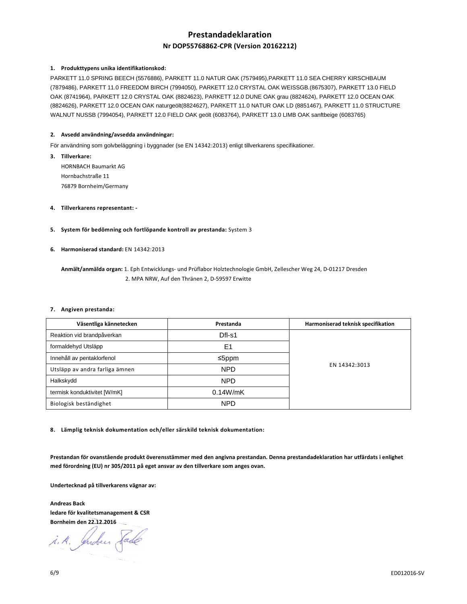# **Prestandadeklaration**

# **Nr DOP55768862-CPR (Version 20162212)**

### **1. Produkttypens unika identifikationskod:**

PARKETT 11.0 SPRING BEECH (5576886), PARKETT 11.0 NATUR OAK (7579495),PARKETT 11.0 SEA CHERRY KIRSCHBAUM (7879486), PARKETT 11.0 FREEDOM BIRCH (7994050), PARKETT 12.0 CRYSTAL OAK WEISSGB.(8675307), PARKETT 13.0 FIELD OAK (8741964), PARKETT 12.0 CRYSTAL OAK (8824623), PARKETT 12.0 DUNE OAK grau (8824624), PARKETT 12.0 OCEAN OAK (8824626), PARKETT 12.0 OCEAN OAK naturgeölt(8824627), PARKETT 11.0 NATUR OAK LD (8851467), PARKETT 11.0 STRUCTURE WALNUT NUSSB (7994054), PARKETT 12.0 FIELD OAK geölt (6083764), PARKETT 13.0 LIMB OAK sanftbeige (6083765)

# **2. Avsedd användning/avsedda användningar:**

För användning som golvbeläggning i byggnader (se EN 14342:2013) enligt tillverkarens specifikationer.

- **3. Tillverkare:**  HORNBACH Baumarkt AG Hornbachstraße 11 76879 Bornheim/Germany
- **4. Tillverkarens representant:**
- **5. System för bedömning och fortlöpande kontroll av prestanda:** System 3
- **6. Harmoniserad standard:** EN 14342:2013

 **Anmält/anmälda organ:** 1. Eph Entwicklungs- und Prüflabor Holztechnologie GmbH, Zellescher Weg 24, D-01217 Dresden 2. MPA NRW, Auf den Thränen 2, D-59597 Erwitte

#### **7. Angiven prestanda:**

| Väsentliga kännetecken         | Prestanda  | Harmoniserad teknisk specifikation |
|--------------------------------|------------|------------------------------------|
| Reaktion vid brandpåverkan     | Dfl-s1     |                                    |
| formaldehyd Utsläpp            | E1         |                                    |
| Innehåll av pentaklorfenol     | ≤5ppm      |                                    |
| Utsläpp av andra farliga ämnen | <b>NPD</b> | EN 14342:3013                      |
| Halkskydd                      | <b>NPD</b> |                                    |
| termisk konduktivitet [W/mK]   | 0.14W/mK   |                                    |
| Biologisk beständighet         | <b>NPD</b> |                                    |

**8. Lämplig teknisk dokumentation och/eller särskild teknisk dokumentation:** 

**Prestandan för ovanstående produkt överensstämmer med den angivna prestandan. Denna prestandadeklaration har utfärdats i enlighet med förordning (EU) nr 305/2011 på eget ansvar av den tillverkare som anges ovan.** 

**Undertecknad på tillverkarens vägnar av:** 

**Andreas Back ledare för kvalitetsmanagement & CSR Bornheim den 22.12.2016** 

i.A. Juden Sade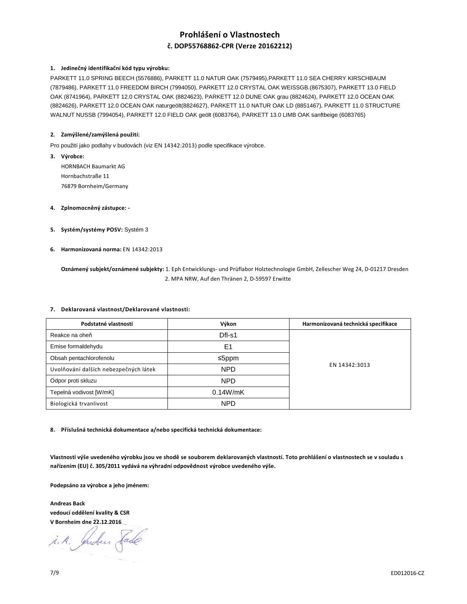# **Prohlášení o Vlastnostech č. DOP55768862-CPR (Verze 20162212)**

# **1. Jedinečný identifikační kód typu výrobku:**

PARKETT 11.0 SPRING BEECH (5576886), PARKETT 11.0 NATUR OAK (7579495),PARKETT 11.0 SEA CHERRY KIRSCHBAUM (7879486), PARKETT 11.0 FREEDOM BIRCH (7994050), PARKETT 12.0 CRYSTAL OAK WEISSGB.(8675307), PARKETT 13.0 FIELD OAK (8741964), PARKETT 12.0 CRYSTAL OAK (8824623), PARKETT 12.0 DUNE OAK grau (8824624), PARKETT 12.0 OCEAN OAK (8824626), PARKETT 12.0 OCEAN OAK naturgeölt(8824627), PARKETT 11.0 NATUR OAK LD (8851467), PARKETT 11.0 STRUCTURE WALNUT NUSSB (7994054), PARKETT 12.0 FIELD OAK geölt (6083764), PARKETT 13.0 LIMB OAK sanftbeige (6083765)

### **2. Zamýšlené/zamýšlená použití:**

Pro použití jako podlahy v budovách (viz EN 14342:2013) podle specifikace výrobce.

- **3. Výrobce:**  HORNBACH Baumarkt AG Hornbachstraße 11 76879 Bornheim/Germany
- **4. Zplnomocněný zástupce:**
- **5. Systém/systémy POSV:** Systém 3
- **6. Harmonizovaná norma:** EN 14342:2013

 **Oznámený subjekt/oznámené subjekty:** 1. Eph Entwicklungs- und Prüflabor Holztechnologie GmbH, Zellescher Weg 24, D-01217 Dresden 2. MPA NRW, Auf den Thränen 2, D-59597 Erwitte

#### **7. Deklarovaná vlastnost/Deklarované vlastnosti:**

| Podstatné vlastnosti                  | Výkon      | Harmonizovaná technická specifikace |
|---------------------------------------|------------|-------------------------------------|
| Reakce na oheň                        | Dfl-s1     |                                     |
| Emise formaldehydu                    | E1         |                                     |
| Obsah pentachlorofenolu               | ≤5ppm      | EN 14342:3013                       |
| Uvolňování dalších nebezpečných látek | <b>NPD</b> |                                     |
| Odpor proti skluzu                    | <b>NPD</b> |                                     |
| Tepelná vodivost [W/mK]               | 0.14W/mK   |                                     |
| Biologická trvanlivost                | <b>NPD</b> |                                     |

**8. Příslušná technická dokumentace a/nebo specifická technická dokumentace:** 

**Vlastnosti výše uvedeného výrobku jsou ve shodě se souborem deklarovaných vlastností. Toto prohlášení o vlastnostech se v souladu s nařízením (EU) č. 305/2011 vydává na výhradní odpovědnost výrobce uvedeného výše.** 

**Podepsáno za výrobce a jeho jménem:** 

**Andreas Back vedoucí oddělení kvality & CSR V Bornheim dne 22.12.2016** 

i. A. Juden Sade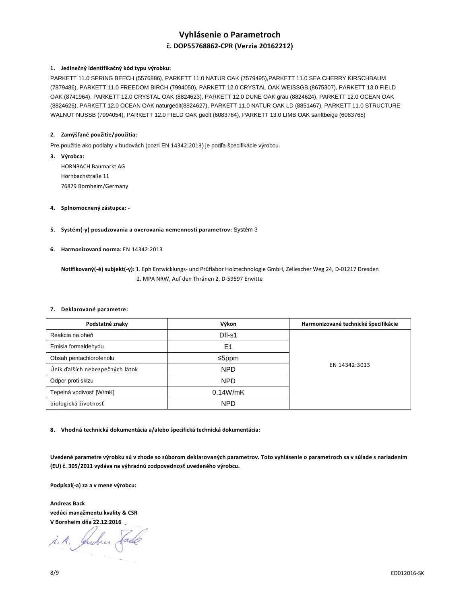# **Vyhlásenie o Parametroch č. DOP55768862-CPR (Verzia 20162212)**

# **1. Jedinečný identifikačný kód typu výrobku:**

PARKETT 11.0 SPRING BEECH (5576886), PARKETT 11.0 NATUR OAK (7579495),PARKETT 11.0 SEA CHERRY KIRSCHBAUM (7879486), PARKETT 11.0 FREEDOM BIRCH (7994050), PARKETT 12.0 CRYSTAL OAK WEISSGB.(8675307), PARKETT 13.0 FIELD OAK (8741964), PARKETT 12.0 CRYSTAL OAK (8824623), PARKETT 12.0 DUNE OAK grau (8824624), PARKETT 12.0 OCEAN OAK (8824626), PARKETT 12.0 OCEAN OAK naturgeölt(8824627), PARKETT 11.0 NATUR OAK LD (8851467), PARKETT 11.0 STRUCTURE WALNUT NUSSB (7994054), PARKETT 12.0 FIELD OAK geölt (6083764), PARKETT 13.0 LIMB OAK sanftbeige (6083765)

### **2. Zamýšľané použitie/použitia:**

Pre použitie ako podlahy v budovách (pozri EN 14342:2013) je podľa špecifikácie výrobcu.

- **3. Výrobca:**  HORNBACH Baumarkt AG Hornbachstraße 11 76879 Bornheim/Germany
- **4. Splnomocnený zástupca:**
- **5. Systém(-y) posudzovania a overovania nemennosti parametrov:** Systém 3
- **6. Harmonizovaná norma:** EN 14342:2013

 **Notifikovaný(-é) subjekt(-y):** 1. Eph Entwicklungs- und Prüflabor Holztechnologie GmbH, Zellescher Weg 24, D-01217 Dresden 2. MPA NRW, Auf den Thränen 2, D-59597 Erwitte

#### **7. Deklarované parametre:**

| Podstatné znaky                 | Výkon      | Harmonizované technické špecifikácie |
|---------------------------------|------------|--------------------------------------|
| Reakcia na oheň                 | Dfl-s1     |                                      |
| Emisia formaldehydu             | E1         |                                      |
| Obsah pentachlorofenolu         | ≤5ppm      | EN 14342:3013                        |
| Únik ďalších nebezpečných látok | <b>NPD</b> |                                      |
| Odpor proti sklzu               | <b>NPD</b> |                                      |
| Tepelná vodivosť [W/mK]         | 0.14W/mK   |                                      |
| biologická životnosť            | <b>NPD</b> |                                      |

**8. Vhodná technická dokumentácia a/alebo špecifická technická dokumentácia:** 

**Uvedené parametre výrobku sú v zhode so súborom deklarovaných parametrov. Toto vyhlásenie o parametroch sa v súlade s nariadením (EU) č. 305/2011 vydáva na výhradnú zodpovednosť uvedeného výrobcu.** 

**Podpísal(-a) za a v mene výrobcu:** 

**Andreas Back vedúci manažmentu kvality & CSR V Bornheim dňa 22.12.2016** 

i. A. Indeer Sade